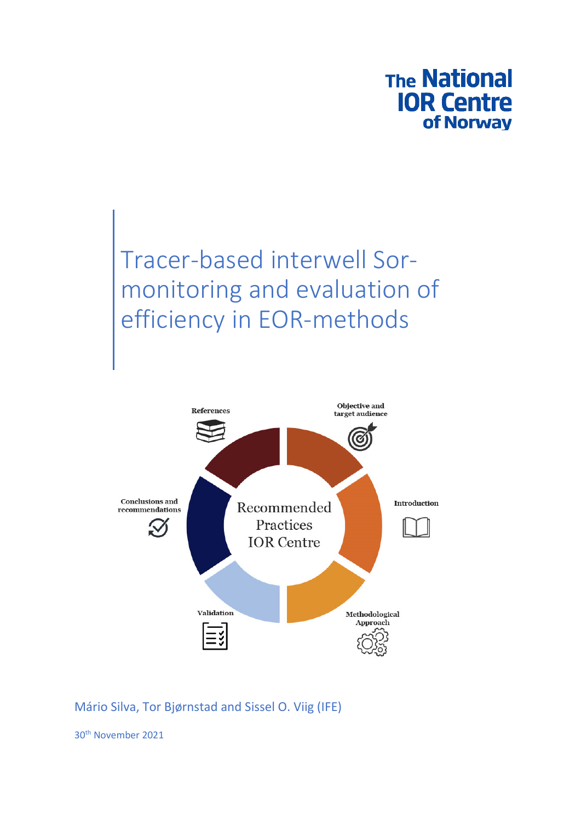

# Tracer-based interwell Sormonitoring and evaluation of efficiency in EOR-methods



## Mário Silva, Tor Bjørnstad and Sissel O. Viig (IFE)

30th November 2021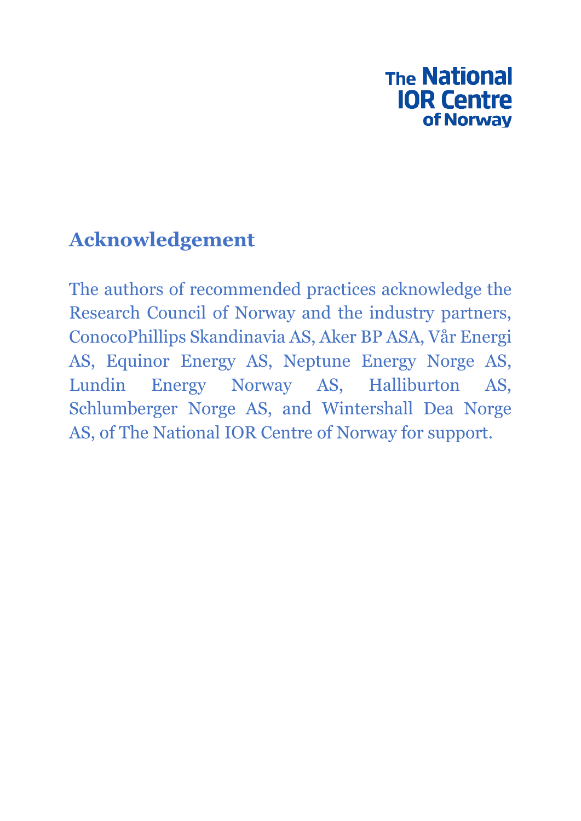## **The National IOR Centre** of Norway

## **Acknowledgement**

The authors of recommended practices acknowledge the Research Council of Norway and the industry partners, ConocoPhillips Skandinavia AS, Aker BP ASA, Vår Energi AS, Equinor Energy AS, Neptune Energy Norge AS, Lundin Energy Norway AS, Halliburton AS, Schlumberger Norge AS, and Wintershall Dea Norge AS, of The National IOR Centre of Norway for support.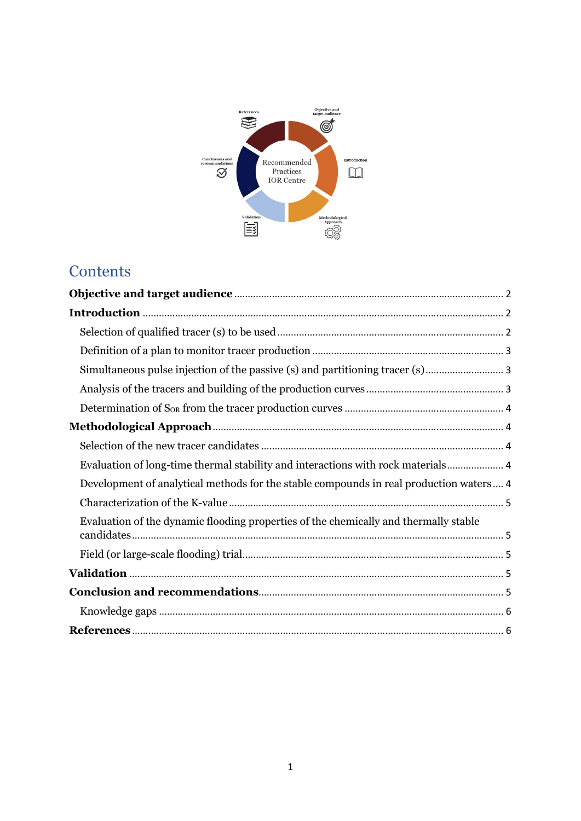

## **Contents**

| Simultaneous pulse injection of the passive (s) and partitioning tracer (s)            |
|----------------------------------------------------------------------------------------|
|                                                                                        |
|                                                                                        |
|                                                                                        |
|                                                                                        |
| Evaluation of long-time thermal stability and interactions with rock materials 4       |
| Development of analytical methods for the stable compounds in real production waters 4 |
|                                                                                        |
| Evaluation of the dynamic flooding properties of the chemically and thermally stable   |
|                                                                                        |
|                                                                                        |
|                                                                                        |
|                                                                                        |
|                                                                                        |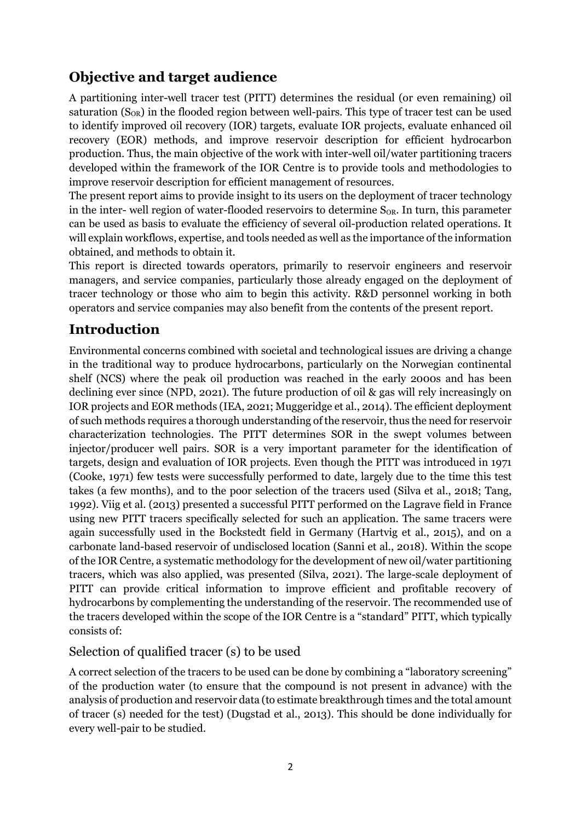## **Objective and target audience**

A partitioning inter-well tracer test (PITT) determines the residual (or even remaining) oil saturation  $(S_{OR})$  in the flooded region between well-pairs. This type of tracer test can be used to identify improved oil recovery (IOR) targets, evaluate IOR projects, evaluate enhanced oil recovery (EOR) methods, and improve reservoir description for efficient hydrocarbon production. Thus, the main objective of the work with inter-well oil/water partitioning tracers developed within the framework of the IOR Centre is to provide tools and methodologies to improve reservoir description for efficient management of resources.

The present report aims to provide insight to its users on the deployment of tracer technology in the inter- well region of water-flooded reservoirs to determine  $S_{OR}$ . In turn, this parameter can be used as basis to evaluate the efficiency of several oil-production related operations. It will explain workflows, expertise, and tools needed as well as the importance of the information obtained, and methods to obtain it.

This report is directed towards operators, primarily to reservoir engineers and reservoir managers, and service companies, particularly those already engaged on the deployment of tracer technology or those who aim to begin this activity. R&D personnel working in both operators and service companies may also benefit from the contents of the present report.

## **Introduction**

Environmental concerns combined with societal and technological issues are driving a change in the traditional way to produce hydrocarbons, particularly on the Norwegian continental shelf (NCS) where the peak oil production was reached in the early 2000s and has been declining ever since (NPD, 2021). The future production of oil & gas will rely increasingly on IOR projects and EOR methods (IEA, 2021; Muggeridge et al., 2014). The efficient deployment of such methods requires a thorough understanding of the reservoir, thus the need for reservoir characterization technologies. The PITT determines SOR in the swept volumes between injector/producer well pairs. SOR is a very important parameter for the identification of targets, design and evaluation of IOR projects. Even though the PITT was introduced in 1971 (Cooke, 1971) few tests were successfully performed to date, largely due to the time this test takes (a few months), and to the poor selection of the tracers used (Silva et al., 2018; Tang, 1992). Viig et al. (2013) presented a successful PITT performed on the Lagrave field in France using new PITT tracers specifically selected for such an application. The same tracers were again successfully used in the Bockstedt field in Germany (Hartvig et al., 2015), and on a carbonate land-based reservoir of undisclosed location (Sanni et al., 2018). Within the scope of the IOR Centre, a systematic methodology for the development of new oil/water partitioning tracers, which was also applied, was presented (Silva, 2021). The large-scale deployment of PITT can provide critical information to improve efficient and profitable recovery of hydrocarbons by complementing the understanding of the reservoir. The recommended use of the tracers developed within the scope of the IOR Centre is a "standard" PITT, which typically consists of:

#### Selection of qualified tracer (s) to be used

A correct selection of the tracers to be used can be done by combining a "laboratory screening" of the production water (to ensure that the compound is not present in advance) with the analysis of production and reservoir data (to estimate breakthrough times and the total amount of tracer (s) needed for the test) (Dugstad et al., 2013). This should be done individually for every well-pair to be studied.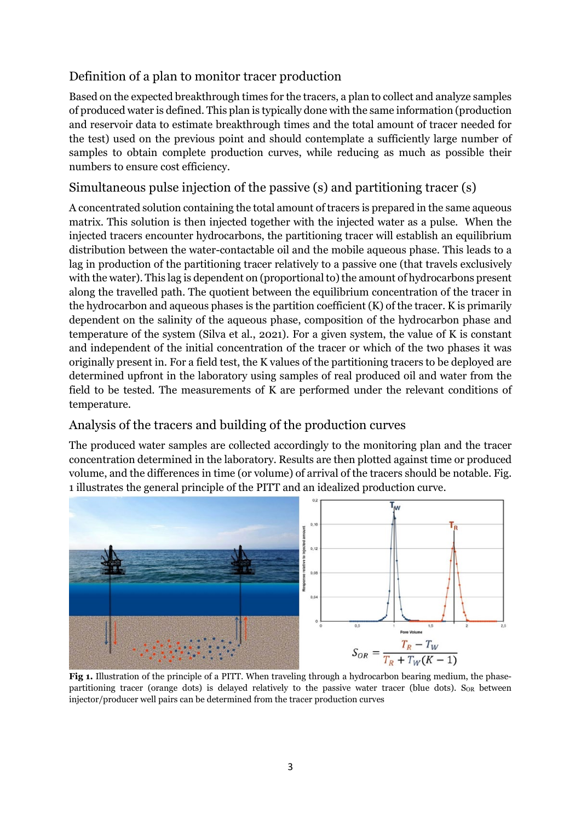## Definition of a plan to monitor tracer production

Based on the expected breakthrough times for the tracers, a plan to collect and analyze samples of produced water is defined. This plan is typically done with the same information (production and reservoir data to estimate breakthrough times and the total amount of tracer needed for the test) used on the previous point and should contemplate a sufficiently large number of samples to obtain complete production curves, while reducing as much as possible their numbers to ensure cost efficiency.

## Simultaneous pulse injection of the passive (s) and partitioning tracer (s)

A concentrated solution containing the total amount of tracers is prepared in the same aqueous matrix. This solution is then injected together with the injected water as a pulse. When the injected tracers encounter hydrocarbons, the partitioning tracer will establish an equilibrium distribution between the water-contactable oil and the mobile aqueous phase. This leads to a lag in production of the partitioning tracer relatively to a passive one (that travels exclusively with the water). This lag is dependent on (proportional to) the amount of hydrocarbons present along the travelled path. The quotient between the equilibrium concentration of the tracer in the hydrocarbon and aqueous phases is the partition coefficient (K) of the tracer. K is primarily dependent on the salinity of the aqueous phase, composition of the hydrocarbon phase and temperature of the system (Silva et al., 2021). For a given system, the value of K is constant and independent of the initial concentration of the tracer or which of the two phases it was originally present in. For a field test, the K values of the partitioning tracers to be deployed are determined upfront in the laboratory using samples of real produced oil and water from the field to be tested. The measurements of K are performed under the relevant conditions of temperature.

#### Analysis of the tracers and building of the production curves

The produced water samples are collected accordingly to the monitoring plan and the tracer concentration determined in the laboratory. Results are then plotted against time or produced volume, and the differences in time (or volume) of arrival of the tracers should be notable. Fig. 1 illustrates the general principle of the PITT and an idealized production curve.



Fig 1. Illustration of the principle of a PITT. When traveling through a hydrocarbon bearing medium, the phasepartitioning tracer (orange dots) is delayed relatively to the passive water tracer (blue dots).  $S_{OR}$  between injector/producer well pairs can be determined from the tracer production curves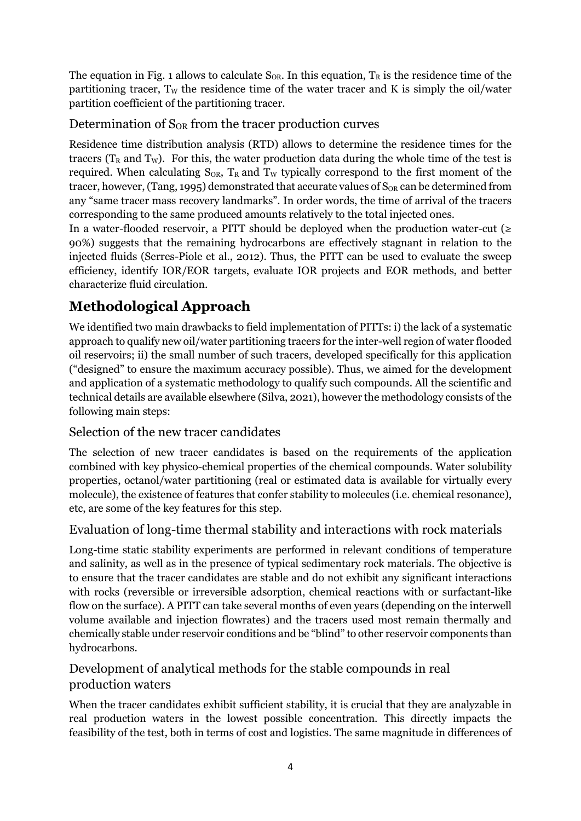The equation in Fig. 1 allows to calculate  $S_{OR}$ . In this equation,  $T_R$  is the residence time of the partitioning tracer,  $T_W$  the residence time of the water tracer and K is simply the oil/water partition coefficient of the partitioning tracer.

## Determination of S<sub>OR</sub> from the tracer production curves

Residence time distribution analysis (RTD) allows to determine the residence times for the tracers ( $T_R$  and  $T_W$ ). For this, the water production data during the whole time of the test is required. When calculating  $S_{OR}$ ,  $T_R$  and  $T_W$  typically correspond to the first moment of the tracer, however, (Tang, 1995) demonstrated that accurate values of  $S_{OR}$  can be determined from any "same tracer mass recovery landmarks". In order words, the time of arrival of the tracers corresponding to the same produced amounts relatively to the total injected ones.

In a water-flooded reservoir, a PITT should be deployed when the production water-cut ( $\ge$ 90%) suggests that the remaining hydrocarbons are effectively stagnant in relation to the injected fluids (Serres-Piole et al., 2012). Thus, the PITT can be used to evaluate the sweep efficiency, identify IOR/EOR targets, evaluate IOR projects and EOR methods, and better characterize fluid circulation.

## **Methodological Approach**

We identified two main drawbacks to field implementation of PITTs: i) the lack of a systematic approach to qualify new oil/water partitioning tracers for the inter-well region of water flooded oil reservoirs; ii) the small number of such tracers, developed specifically for this application ("designed" to ensure the maximum accuracy possible). Thus, we aimed for the development and application of a systematic methodology to qualify such compounds. All the scientific and technical details are available elsewhere (Silva, 2021), however the methodology consists of the following main steps:

## Selection of the new tracer candidates

The selection of new tracer candidates is based on the requirements of the application combined with key physico-chemical properties of the chemical compounds. Water solubility properties, octanol/water partitioning (real or estimated data is available for virtually every molecule), the existence of features that confer stability to molecules (i.e. chemical resonance), etc, are some of the key features for this step.

## Evaluation of long-time thermal stability and interactions with rock materials

Long-time static stability experiments are performed in relevant conditions of temperature and salinity, as well as in the presence of typical sedimentary rock materials. The objective is to ensure that the tracer candidates are stable and do not exhibit any significant interactions with rocks (reversible or irreversible adsorption, chemical reactions with or surfactant-like flow on the surface). A PITT can take several months of even years (depending on the interwell volume available and injection flowrates) and the tracers used most remain thermally and chemically stable under reservoir conditions and be "blind" to other reservoir components than hydrocarbons.

## Development of analytical methods for the stable compounds in real production waters

When the tracer candidates exhibit sufficient stability, it is crucial that they are analyzable in real production waters in the lowest possible concentration. This directly impacts the feasibility of the test, both in terms of cost and logistics. The same magnitude in differences of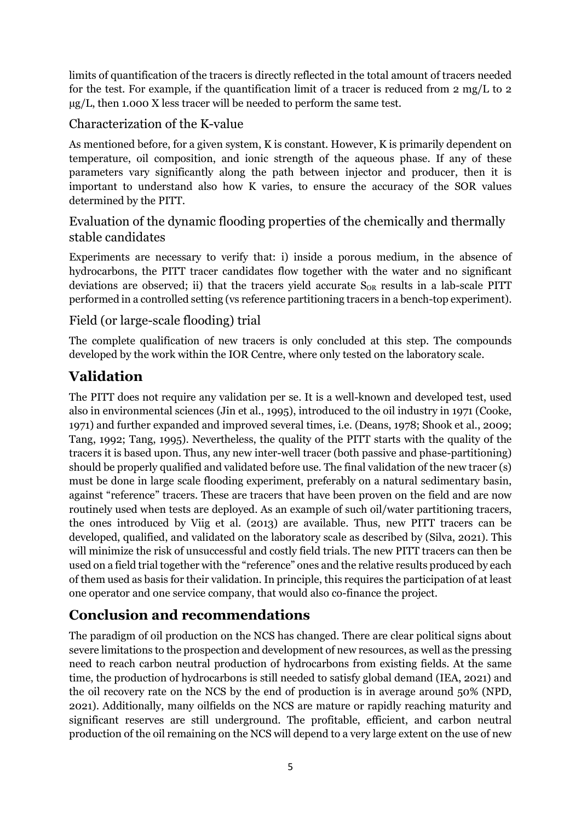limits of quantification of the tracers is directly reflected in the total amount of tracers needed for the test. For example, if the quantification limit of a tracer is reduced from 2 mg/L to 2  $\mu$ g/L, then 1.000 X less tracer will be needed to perform the same test.

## Characterization of the K-value

As mentioned before, for a given system, K is constant. However, K is primarily dependent on temperature, oil composition, and ionic strength of the aqueous phase. If any of these parameters vary significantly along the path between injector and producer, then it is important to understand also how K varies, to ensure the accuracy of the SOR values determined by the PITT.

## Evaluation of the dynamic flooding properties of the chemically and thermally stable candidates

Experiments are necessary to verify that: i) inside a porous medium, in the absence of hydrocarbons, the PITT tracer candidates flow together with the water and no significant deviations are observed; ii) that the tracers yield accurate  $S_{OR}$  results in a lab-scale PITT performed in a controlled setting (vs reference partitioning tracers in a bench-top experiment).

## Field (or large-scale flooding) trial

The complete qualification of new tracers is only concluded at this step. The compounds developed by the work within the IOR Centre, where only tested on the laboratory scale.

## **Validation**

The PITT does not require any validation per se. It is a well-known and developed test, used also in environmental sciences (Jin et al., 1995), introduced to the oil industry in 1971 (Cooke, 1971) and further expanded and improved several times, i.e. (Deans, 1978; Shook et al., 2009; Tang, 1992; Tang, 1995). Nevertheless, the quality of the PITT starts with the quality of the tracers it is based upon. Thus, any new inter-well tracer (both passive and phase-partitioning) should be properly qualified and validated before use. The final validation of the new tracer (s) must be done in large scale flooding experiment, preferably on a natural sedimentary basin, against "reference" tracers. These are tracers that have been proven on the field and are now routinely used when tests are deployed. As an example of such oil/water partitioning tracers, the ones introduced by Viig et al. (2013) are available. Thus, new PITT tracers can be developed, qualified, and validated on the laboratory scale as described by (Silva, 2021). This will minimize the risk of unsuccessful and costly field trials. The new PITT tracers can then be used on a field trial together with the "reference" ones and the relative results produced by each of them used as basis for their validation. In principle, this requires the participation of at least one operator and one service company, that would also co-finance the project.

## **Conclusion and recommendations**

The paradigm of oil production on the NCS has changed. There are clear political signs about severe limitations to the prospection and development of new resources, as well as the pressing need to reach carbon neutral production of hydrocarbons from existing fields. At the same time, the production of hydrocarbons is still needed to satisfy global demand (IEA, 2021) and the oil recovery rate on the NCS by the end of production is in average around 50% (NPD, 2021). Additionally, many oilfields on the NCS are mature or rapidly reaching maturity and significant reserves are still underground. The profitable, efficient, and carbon neutral production of the oil remaining on the NCS will depend to a very large extent on the use of new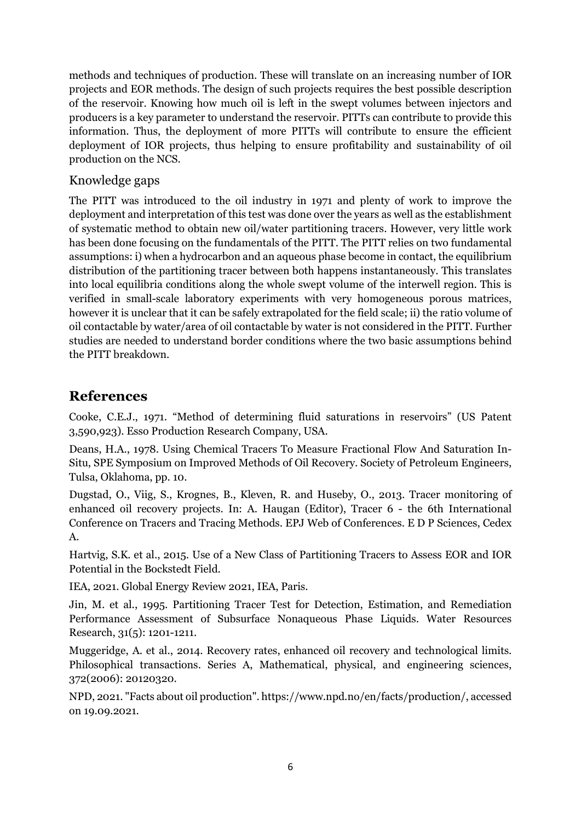methods and techniques of production. These will translate on an increasing number of IOR projects and EOR methods. The design of such projects requires the best possible description of the reservoir. Knowing how much oil is left in the swept volumes between injectors and producers is a key parameter to understand the reservoir. PITTs can contribute to provide this information. Thus, the deployment of more PITTs will contribute to ensure the efficient deployment of IOR projects, thus helping to ensure profitability and sustainability of oil production on the NCS.

#### Knowledge gaps

The PITT was introduced to the oil industry in 1971 and plenty of work to improve the deployment and interpretation of this test was done over the years as well as the establishment of systematic method to obtain new oil/water partitioning tracers. However, very little work has been done focusing on the fundamentals of the PITT. The PITT relies on two fundamental assumptions: i) when a hydrocarbon and an aqueous phase become in contact, the equilibrium distribution of the partitioning tracer between both happens instantaneously. This translates into local equilibria conditions along the whole swept volume of the interwell region. This is verified in small-scale laboratory experiments with very homogeneous porous matrices, however it is unclear that it can be safely extrapolated for the field scale; ii) the ratio volume of oil contactable by water/area of oil contactable by water is not considered in the PITT. Further studies are needed to understand border conditions where the two basic assumptions behind the PITT breakdown.

#### **References**

Cooke, C.E.J., 1971. "Method of determining fluid saturations in reservoirs" (US Patent 3,590,923). Esso Production Research Company, USA.

Deans, H.A., 1978. Using Chemical Tracers To Measure Fractional Flow And Saturation In-Situ, SPE Symposium on Improved Methods of Oil Recovery. Society of Petroleum Engineers, Tulsa, Oklahoma, pp. 10.

Dugstad, O., Viig, S., Krognes, B., Kleven, R. and Huseby, O., 2013. Tracer monitoring of enhanced oil recovery projects. In: A. Haugan (Editor), Tracer 6 - the 6th International Conference on Tracers and Tracing Methods. EPJ Web of Conferences. E D P Sciences, Cedex A.

Hartvig, S.K. et al., 2015. Use of a New Class of Partitioning Tracers to Assess EOR and IOR Potential in the Bockstedt Field.

IEA, 2021. Global Energy Review 2021, IEA, Paris.

Jin, M. et al., 1995. Partitioning Tracer Test for Detection, Estimation, and Remediation Performance Assessment of Subsurface Nonaqueous Phase Liquids. Water Resources Research, 31(5): 1201-1211.

Muggeridge, A. et al., 2014. Recovery rates, enhanced oil recovery and technological limits. Philosophical transactions. Series A, Mathematical, physical, and engineering sciences, 372(2006): 20120320.

NPD, 2021. "Facts about oil production". https://www.npd.no/en/facts/production/, accessed on 19.09.2021.